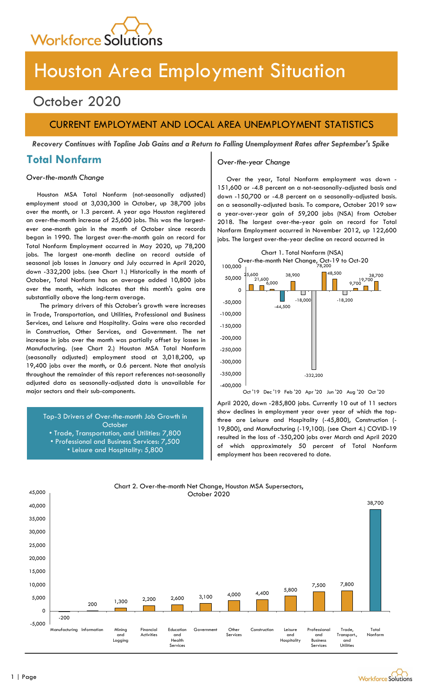

# Houston Area Employment Situation

## October 2020

### CURRENT EMPLOYMENT AND LOCAL AREA UNEMPLOYMENT STATISTICS

Recovery Continues with Topline Job Gains and a Return to Falling Unemployment Rates after September's Spike

### Total Nonfarm

Houston MSA Total Nonfarm (not-seasonally adjusted) employment stood at 3,030,300 in October, up 38,700 jobs over the month, or 1.3 percent. A year ago Houston registered an over-the-month increase of 25,600 jobs. This was the largestever one-month gain in the month of October since records began in 1990. The largest over-the-month gain on record for Total Nonfarm Employment occurred in May 2020, up 78,200 jobs. The largest one-month decline on record outside of seasonal job losses in January and July occurred in April 2020, down -332,200 jobs. (see Chart 1.) Historically in the month of October, Total Nonfarm has on average added 10,800 jobs over the month, which indicates that this month's gains are substantially above the long-term average.

The primary drivers of this October's growth were increases in Trade, Transportation, and Utilities, Professional and Business Services, and Leisure and Hospitality. Gains were also recorded in Construction, Other Services, and Government. The net increase in jobs over the month was partially offset by losses in Manufacturing. (see Chart 2.) Houston MSA Total Nonfarm (seasonally adjusted) employment stood at 3,018,200, up 19,400 jobs over the month, or 0.6 percent. Note that analysis throughout the remainder of this report references not-seasonally adjusted data as seasonally-adjusted data is unavailable for major sectors and their sub-components.

Top-3 Drivers of Over-the-month Job Growth in **October** 

- Trade, Transportation, and Utilities: 7,800 • Professional and Business Services: 7,500
	- Leisure and Hospitality: 5,800

### Over-the-year Change

Over-the-month Change and Change and Cover the year, Total Nonfarm employment was down 151,600 or -4.8 percent on a not-seasonally-adjusted basis and down -150,700 or -4.8 percent on a seasonally-adjusted basis. on a seasonally-adjusted basis. To compare, October 2019 saw a year-over-year gain of 59,200 jobs (NSA) from October 2018. The largest over-the-year gain on record for Total Nonfarm Employment occurred in November 2012, up 122,600 jobs. The largest over-the-year decline on record occurred in



-400,000 <sup>|</sup><br>Oct '19 Dec '19 Feb '20 Apr '20 Jun '20 Aug '20 Oct '20

April 2020, down -285,800 jobs. Currently 10 out of 11 sectors show declines in employment year over year of which the topthree are Leisure and Hospitality (-45,800), Construction (- 19,800), and Manufacturing (-19,100). (see Chart 4.) COVID-19 resulted in the loss of -350,200 jobs over March and April 2020 of which approximately 50 percent of Total Nonfarm employment has been recovered to date.

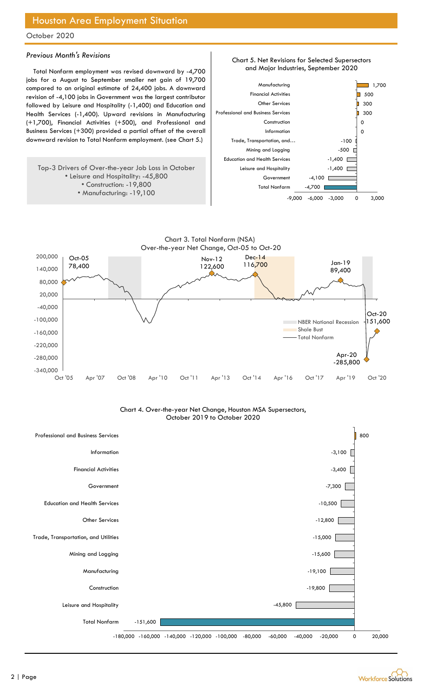### Houston Area Employment Situation

#### October 2020

#### Previous Month's Revisions

Total Nonfarm employment was revised downward by -4,700 jobs for a August to September smaller net gain of 19,700 compared to an original estimate of 24,400 jobs. A downward revision of -4,100 jobs in Government was the largest contributor followed by Leisure and Hospitality (-1,400) and Education and Health Services (-1,400). Upward revisions in Manufacturing (+1,700), Financial Activities (+500), and Professional and Business Services (+300) provided a partial offset of the overall downward revision to Total Nonfarm employment. (see Chart 5.)

#### Top-3 Drivers of Over-the-year Job Loss in October • Leisure and Hospitality: -45,800 • Construction: -19,800 • Manufacturing: -19,100







Chart 4. Over-the-year Net Change, Houston MSA Supersectors, October 2019 to October 2020



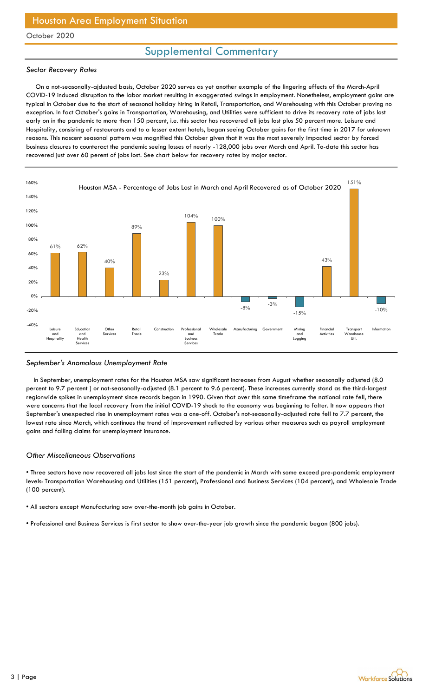### Houston Area Employment Situation

### October 2020

### Supplemental Commentary

#### Sector Recovery Rates

 On a not-seasonally-ajdusted basis, October 2020 serves as yet another example of the lingering effects of the March-April COVID-19 induced disruption to the labor market resulting in exaggerated swings in employment. Nonetheless, employment gains are typical in October due to the start of seasonal holiday hiring in Retail, Transportation, and Warehousing with this October proving no exception. In fact October's gains in Transportation, Warehousing, and Utilities were sufficient to drive its recovery rate of jobs lost early on in the pandemic to more than 150 percent, i.e. this sector has recovered all jobs lost plus 50 percent more. Leisure and Hospitality, consisting of restaurants and to a lesser extent hotels, began seeing October gains for the first time in 2017 for unknown reasons. This nascent seasonal pattern was magnified this October given that it was the most severely impacted sector by forced business closures to counteract the pandemic seeing losses of nearly -128,000 jobs over March and April. To-date this sector has recovered just over 60 perent of jobs lost. See chart below for recovery rates by major sector.



#### September's Anomalous Unemployment Rate

 In September, unemployment rates for the Houston MSA saw significant increases from August whether seasonally adjusted (8.0 percent to 9.7 percent ) or not-seasonally-adjusted (8.1 percent to 9.6 percent). These increases currently stand as the third-largest regionwide spikes in unemployment since records began in 1990. Given that over this same timeframe the national rate fell, there were concerns that the local recovery from the initial COVID-19 shock to the economy was beginning to falter. It now appears that September's unexpected rise in unemployment rates was a one-off. October's not-seasonally-adjusted rate fell to 7.7 percent, the lowest rate since March, which continues the trend of improvement reflected by various other measures such as payroll employment gains and falling claims for unemployment insurance.

### Other Miscellaneous Observations

• Three sectors have now recovered all jobs lost since the start of the pandemic in March with some exceed pre-pandemic employment levels: Transportation Warehousing and Utilities (151 percent), Professional and Business Services (104 percent), and Wholesale Trade (100 percent).

• All sectors except Manufacturing saw over-the-month job gains in October.

• Professional and Business Services is first sector to show over-the-year job growth since the pandemic began (800 jobs).

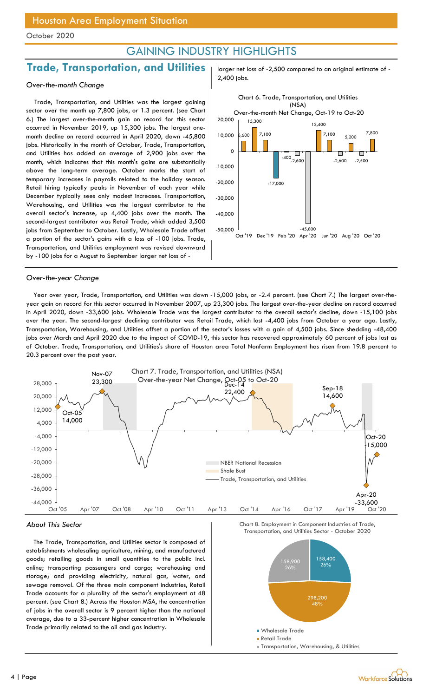### GAINING INDUSTRY HIGHLIGHTS

2,400 jobs.

### Trade, Transportation, and Utilities | larger net loss of -2,500 compared to an original estimate of -

### Over-the-month Change

Trade, Transportation, and Utilities was the largest gaining sector over the month up 7,800 jobs, or 1.3 percent. (see Chart 6.) The largest over-the-month gain on record for this sector occurred in November 2019, up 15,300 jobs. The largest onemonth decline on record occurred in April 2020, down -45,800 jobs. Historically in the month of October, Trade, Transportation, and Utilities has added an average of 2,900 jobs over the month, which indicates that this month's gains are substantially above the long-term average. October marks the start of temporary increases in payrolls related to the holiday season. Retail hiring typically peaks in November of each year while December typically sees only modest increases. Transportation, Warehousing, and Utilities was the largest contributor to the overall sector's increase, up 4,400 jobs over the month. The second-largest contributor was Retail Trade, which added 3,500 jobs from September to October. Lastly, Wholesale Trade offset a portion of the sector's gains with a loss of -100 jobs. Trade, Transportation, and Utilities employment was revised downward by -100 jobs for a August to September larger net loss of -



#### Over-the-year Change

Year over year, Trade, Transportation, and Utilities was down -15,000 jobs, or -2.4 percent. (see Chart 7.) The largest over-theyear gain on record for this sector occurred in November 2007, up 23,300 jobs. The largest over-the-year decline on record occurred in April 2020, down -33,600 jobs. Wholesale Trade was the largest contributor to the overall sector's decline, down -15,100 jobs over the year. The second-largest declining contributor was Retail Trade, which lost -4,400 jobs from October a year ago. Lastly, Transportation, Warehousing, and Utilities offset a portion of the sector's losses with a gain of 4,500 jobs. Since shedding -48,400 jobs over March and April 2020 due to the impact of COVID-19, this sector has recovered approximately 60 percent of jobs lost as of October. Trade, Transportation, and Utilities's share of Houston area Total Nonfarm Employment has risen from 19.8 percent to 20.3 percent over the past year.



#### About This Sector

The Trade, Transportation, and Utilities sector is composed of establishments wholesaling agriculture, mining, and manufactured goods; retailing goods in small quantities to the public incl. online; transporting passengers and cargo; warehousing and storage; and providing electricity, natural gas, water, and sewage removal. Of the three main component industries, Retail Trade accounts for a plurality of the sector's employment at 48 percent. (see Chart 8.) Across the Houston MSA, the concentration of jobs in the overall sector is 9 percent higher than the national average, due to a 33-percent higher concentration in Wholesale Trade primarily related to the oil and gas industry.

Chart 8. Employment in Component Industries of Trade,

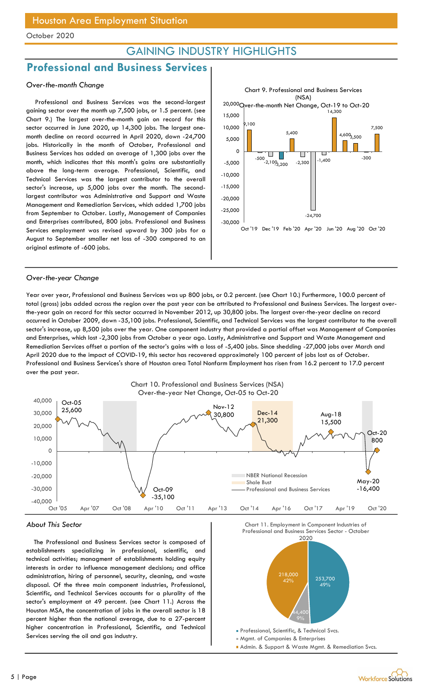### GAINING INDUSTRY HIGHLIGHTS

### Professional and Business Services

### Over-the-month Change

Professional and Business Services was the second-largest gaining sector over the month up 7,500 jobs, or 1.5 percent. (see Chart 9.) The largest over-the-month gain on record for this sector occurred in June 2020, up 14,300 jobs. The largest onemonth decline on record occurred in April 2020, down -24,700 jobs. Historically in the month of October, Professional and Business Services has added an average of 1,300 jobs over the month, which indicates that this month's gains are substantially above the long-term average. Professional, Scientific, and Technical Services was the largest contributor to the overall sector's increase, up 5,000 jobs over the month. The secondlargest contributor was Administrative and Support and Waste Management and Remediation Services, which added 1,700 jobs from September to October. Lastly, Management of Companies and Enterprises contributed, 800 jobs. Professional and Business Services employment was revised upward by 300 jobs for a August to September smaller net loss of -300 compared to an original estimate of -600 jobs.



#### Over-the-year Change

Year over year, Professional and Business Services was up 800 jobs, or 0.2 percent. (see Chart 10.) Furthermore, 100.0 percent of total (gross) jobs added across the region over the past year can be attributed to Professional and Business Services. The largest overthe-year gain on record for this sector occurred in November 2012, up 30,800 jobs. The largest over-the-year decline on record occurred in October 2009, down -35,100 jobs. Professional, Scientific, and Technical Services was the largest contributor to the overall sector's increase, up 8,500 jobs over the year. One component industry that provided a partial offset was Management of Companies and Enterprises, which lost -2,300 jobs from October a year ago. Lastly, Administrative and Support and Waste Management and Remediation Services offset a portion of the sector's gains with a loss of -5,400 jobs. Since shedding -27,000 jobs over March and April 2020 due to the impact of COVID-19, this sector has recovered approximately 100 percent of jobs lost as of October. Professional and Business Services's share of Houston area Total Nonfarm Employment has risen from 16.2 percent to 17.0 percent over the past year.



### About This Sector

The Professional and Business Services sector is composed of establishments specializing in professional, scientific, and technical activities; managment of establishments holding equity interests in order to influence management decisions; and office administration, hiring of personnel, security, cleaning, and waste disposal. Of the three main component industries, Professional, Scientific, and Technical Services accounts for a plurality of the sector's employment at 49 percent. (see Chart 11.) Across the Houston MSA, the concentration of jobs in the overall sector is 18 percent higher than the national average, due to a 27-percent higher concentration in Professional, Scientific, and Technical Services serving the oil and gas industry.



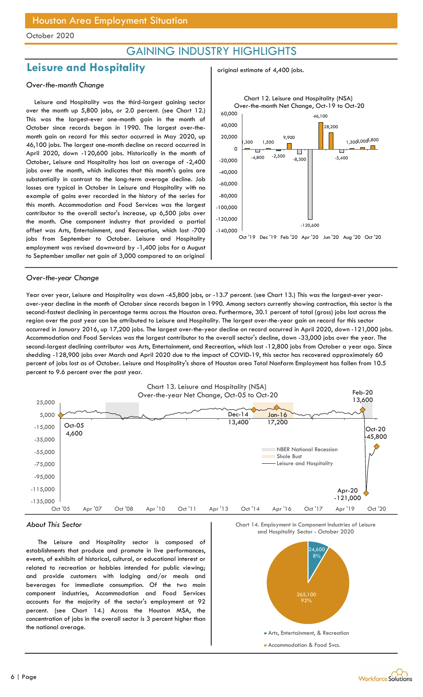### GAINING INDUSTRY HIGHLIGHTS

original estimate of 4,400 jobs.

### Leisure and Hospitality

#### Over-the-month Change

Leisure and Hospitality was the third-largest gaining sector over the month up 5,800 jobs, or 2.0 percent. (see Chart 12.) This was the largest-ever one-month gain in the month of October since records began in 1990. The largest over-themonth gain on record for this sector occurred in May 2020, up 46,100 jobs. The largest one-month decline on record occurred in April 2020, down -120,600 jobs. Historically in the month of October, Leisure and Hospitality has lost an average of -2,400 jobs over the month, which indicates that this month's gains are substantially in contrast to the long-term average decline. Job losses are typical in October in Leisure and Hospitality with no example of gains ever recorded in the history of the series for this month. Accommodation and Food Services was the largest contributor to the overall sector's increase, up 6,500 jobs over the month. One component industry that provided a partial offset was Arts, Entertainment, and Recreation, which lost -700 jobs from September to October. Leisure and Hospitality employment was revised downward by -1,400 jobs for a August to September smaller net gain of 3,000 compared to an original



#### Over-the-year Change

Year over year, Leisure and Hospitality was down -45,800 jobs, or -13.7 percent. (see Chart 13.) This was the largest-ever yearover-year decline in the month of October since records began in 1990. Among sectors currently showing contraction, this sector is the second-fastest declining in percentage terms across the Houston area. Furthermore, 30.1 percent of total (gross) jobs lost across the region over the past year can be attributed to Leisure and Hospitality. The largest over-the-year gain on record for this sector occurred in January 2016, up 17,200 jobs. The largest over-the-year decline on record occurred in April 2020, down -121,000 jobs. Accommodation and Food Services was the largest contributor to the overall sector's decline, down -33,000 jobs over the year. The second-largest declining contributor was Arts, Entertainment, and Recreation, which lost -12,800 jobs from October a year ago. Since shedding -128,900 jobs over March and April 2020 due to the impact of COVID-19, this sector has recovered approximately 60 percent of jobs lost as of October. Leisure and Hospitality's share of Houston area Total Nonfarm Employment has fallen from 10.5 percent to 9.6 percent over the past year.



#### About This Sector

The Leisure and Hospitality sector is composed of establishments that produce and promote in live performances, events, of exhibits of historical, cultural, or educational interest or related to recreation or hobbies intended for public viewing; and provide customers with lodging and/or meals and beverages for immediate consumption. Of the two main component industries, Accommodation and Food Services accounts for the majority of the sector's employment at 92 percent. (see Chart 14.) Across the Houston MSA, the concentration of jobs in the overall sector is 3 percent higher than the national average.

Chart 14. Employment in Component Industries of Leisure

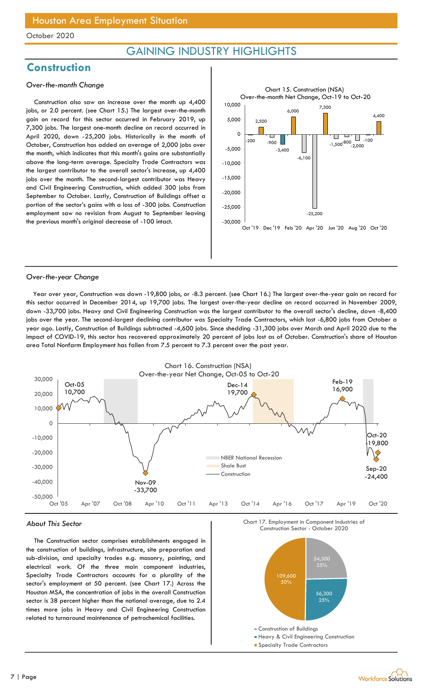### GAINING INDUSTRY HIGHLIGHTS

### **Construction**

### Over-the-month Change

Construction also saw an increase over the month up 4,400 jobs, or 2.0 percent. (see Chart 15.) The largest over-the-month gain on record for this sector occurred in February 2019, up 7,300 jobs. The largest one-month decline on record occurred in April 2020, down -25,200 jobs. Historically in the month of October, Construction has added an average of 2,000 jobs over the month, which indicates that this month's gains are substantially above the long-term average. Specialty Trade Contractors was the largest contributor to the overall sector's increase, up 4,400 jobs over the month. The second-largest contributor was Heavy and Civil Engineering Construction, which added 300 jobs from September to October. Lastly, Construction of Buildings offset a portion of the sector's gains with a loss of -300 jobs. Construction employment saw no revision from August to September leaving the previous month's original decrease of -100 intact.



### Over-the-year Change

Year over year, Construction was down -19,800 jobs, or -8.3 percent. (see Chart 16.) The largest over-the-year gain on record for this sector occurred in December 2014, up 19,700 jobs. The largest over-the-year decline on record occurred in November 2009, down -33,700 jobs. Heavy and Civil Engineering Construction was the largest contributor to the overall sector's decline, down -8,400 jobs over the year. The second-largest declining contributor was Specialty Trade Contractors, which lost -6,800 jobs from October a year ago. Lastly, Construction of Buildings subtracted -4,600 jobs. Since shedding -31,300 jobs over March and April 2020 due to the impact of COVID-19, this sector has recovered approximately 20 percent of jobs lost as of October. Construction's share of Houston area Total Nonfarm Employment has fallen from 7.5 percent to 7.3 percent over the past year.



### About This Sector

The Construction sector comprises establishments engaged in the construction of buildings, infrastructure, site preparation and sub-division, and specialty trades e.g. masonry, painting, and electrical work. Of the three main component industries, Specialty Trade Contractors accounts for a plurality of the sector's employment at 50 percent. (see Chart 17.) Across the Houston MSA, the concentration of jobs in the overall Construction sector is 38 percent higher than the national average, due to 2.4 times more jobs in Heavy and Civil Engineering Construction related to turnaround maintenance of petrochemical facilities.



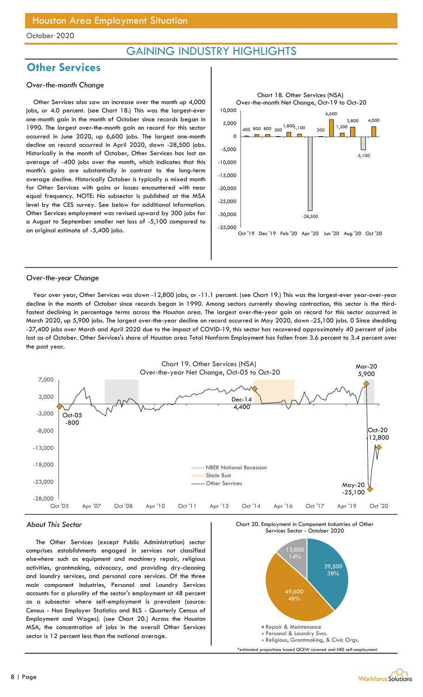### GAINING INDUSTRY HIGHLIGHTS

### **Other Services**

#### Over-the-month Change

Other Services also saw an increase over the month up 4,000 jobs, or 4.0 percent. (see Chart 18.) This was the largest-ever one-month gain in the month of October since records began in 1990. The largest over-the-month gain on record for this sector occurred in June 2020, up 6,600 jobs. The largest one-month decline on record occurred in April 2020, down -28,500 jobs. Historically in the month of October, Other Services has lost an average of -400 jobs over the month, which indicates that this month's gains are substantially in contrast to the long-term average decline. Historically October is typically a mixed month for Other Services with gains or losses encountered with near equal frequency. NOTE: No subsector is published at the MSA level by the CES survey. See below for additional information. Other Services employment was revised upward by 300 jobs for a August to September smaller net loss of -5,100 compared to an original estimate of -5,400 jobs.



#### Over-the-year Change

Year over year, Other Services was down -12,800 jobs, or -11.1 percent. (see Chart 19.) This was the largest-ever year-over-year decline in the month of October since records began in 1990. Among sectors currently showing contraction, this sector is the thirdfastest declining in percentage terms across the Houston area. The largest over-the-year gain on record for this sector occurred in March 2020, up 5,900 jobs. The largest over-the-year decline on record occurred in May 2020, down -25,100 jobs. 0 Since shedding -27,400 jobs over March and April 2020 due to the impact of COVID-19, this sector has recovered approximately 40 percent of jobs lost as of October. Other Services's share of Houston area Total Nonfarm Employment has fallen from 3.6 percent to 3.4 percent over the past year.



#### About This Sector

The Other Services (except Public Administration) sector comprises establishments engaged in services not classified elsewhere such as equipment and machinery repair, religious activities, grantmaking, advocacy, and providing dry-cleaning and laundry services, and personal care services. Of the three main component industries, Personal and Laundry Services accounts for a plurality of the sector's employment at 48 percent as a subsector where self-employment is prevalent (source: Census - Non Employer Statistics and BLS - Quarterly Census of Employment and Wages). (see Chart 20.) Across the Houston MSA, the concentration of jobs in the overall Other Services sector is 12 percent less than the national average.

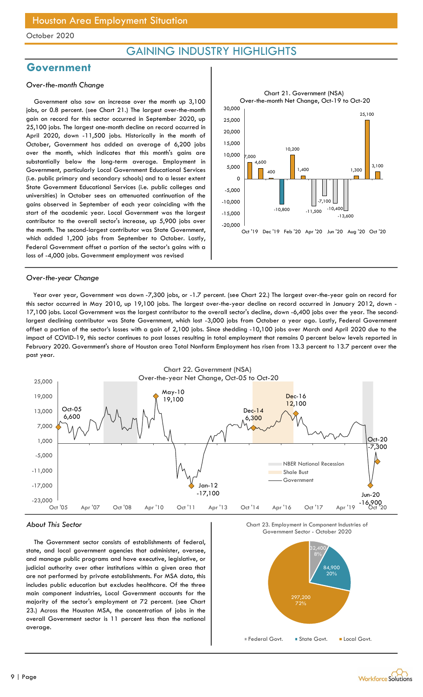### GAINING INDUSTRY HIGHLIGHTS

### Government

#### Over-the-month Change

Government also saw an increase over the month up 3,100 jobs, or 0.8 percent. (see Chart 21.) The largest over-the-month gain on record for this sector occurred in September 2020, up 25,100 jobs. The largest one-month decline on record occurred in April 2020, down -11,500 jobs. Historically in the month of October, Government has added an average of 6,200 jobs over the month, which indicates that this month's gains are substantially below the long-term average. Employment in Government, particularly Local Government Educational Services (i.e. public primary and secondary schools) and to a lesser extent State Government Educational Services (i.e. public colleges and universities) in October sees an attenuated continuation of the gains observed in September of each year coinciding with the start of the academic year. Local Government was the largest contributor to the overall sector's increase, up 5,900 jobs over the month. The second-largest contributor was State Government, which added 1,200 jobs from September to October. Lastly, Federal Government offset a portion of the sector's gains with a loss of -4,000 jobs. Government employment was revised



#### Over-the-year Change

Year over year, Government was down -7,300 jobs, or -1.7 percent. (see Chart 22.) The largest over-the-year gain on record for this sector occurred in May 2010, up 19,100 jobs. The largest over-the-year decline on record occurred in January 2012, down - 17,100 jobs. Local Government was the largest contributor to the overall sector's decline, down -6,400 jobs over the year. The secondlargest declining contributor was State Government, which lost -3,000 jobs from October a year ago. Lastly, Federal Government offset a portion of the sector's losses with a gain of 2,100 jobs. Since shedding -10,100 jobs over March and April 2020 due to the impact of COVID-19, this sector continues to post losses resulting in total employment that remains 0 percent below levels reported in February 2020. Government's share of Houston area Total Nonfarm Employment has risen from 13.3 percent to 13.7 percent over the past year.



### About This Sector

The Government sector consists of establishments of federal, state, and local government agencies that administer, oversee, and manage public programs and have executive, legislative, or judicial authority over other institutions within a given area that are not performed by private establishments. For MSA data, this includes public education but excludes healthcare. Of the three main component industries, Local Government accounts for the majority of the sector's employment at 72 percent. (see Chart 23.) Across the Houston MSA, the concentration of jobs in the overall Government sector is 11 percent less than the national average.

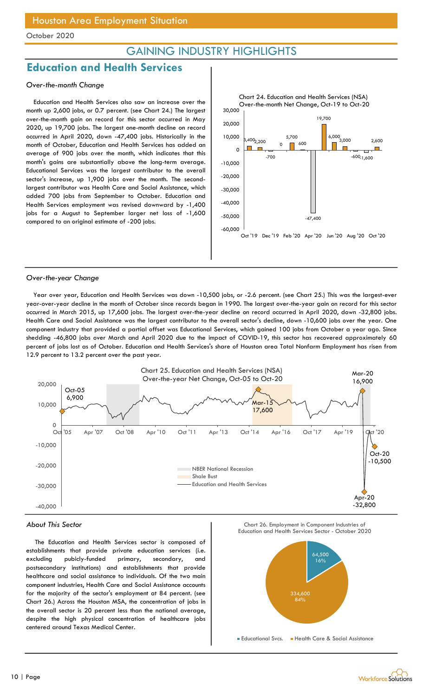### GAINING INDUSTRY HIGHLIGHTS

### Education and Health Services

### Over-the-month Change

Education and Health Services also saw an increase over the month up 2,600 jobs, or 0.7 percent. (see Chart 24.) The largest over-the-month gain on record for this sector occurred in May 2020, up 19,700 jobs. The largest one-month decline on record occurred in April 2020, down -47,400 jobs. Historically in the month of October, Education and Health Services has added an average of 900 jobs over the month, which indicates that this month's gains are substantially above the long-term average. Educational Services was the largest contributor to the overall sector's increase, up 1,900 jobs over the month. The secondlargest contributor was Health Care and Social Assistance, which added 700 jobs from September to October. Education and Health Services employment was revised downward by -1,400 jobs for a August to September larger net loss of -1,600 compared to an original estimate of -200 jobs.



#### Over-the-year Change

Year over year, Education and Health Services was down -10,500 jobs, or -2.6 percent. (see Chart 25.) This was the largest-ever year-over-year decline in the month of October since records began in 1990. The largest over-the-year gain on record for this sector occurred in March 2015, up 17,600 jobs. The largest over-the-year decline on record occurred in April 2020, down -32,800 jobs. Health Care and Social Assistance was the largest contributor to the overall sector's decline, down -10,600 jobs over the year. One component industry that provided a partial offset was Educational Services, which gained 100 jobs from October a year ago. Since shedding -46,800 jobs over March and April 2020 due to the impact of COVID-19, this sector has recovered approximately 60 percent of jobs lost as of October. Education and Health Services's share of Houston area Total Nonfarm Employment has risen from 12.9 percent to 13.2 percent over the past year.



### About This Sector

The Education and Health Services sector is composed of establishments that provide private education services (i.e. excluding pubicly-funded primary, secondary, and postsecondary institutions) and establishments that provide healthcare and social assistance to individuals. Of the two main component industries, Health Care and Social Assistance accounts for the majority of the sector's employment at 84 percent. (see Chart 26.) Across the Houston MSA, the concentration of jobs in the overall sector is 20 percent less than the national average, despite the high physical concentration of healthcare jobs centered around Texas Medical Center.

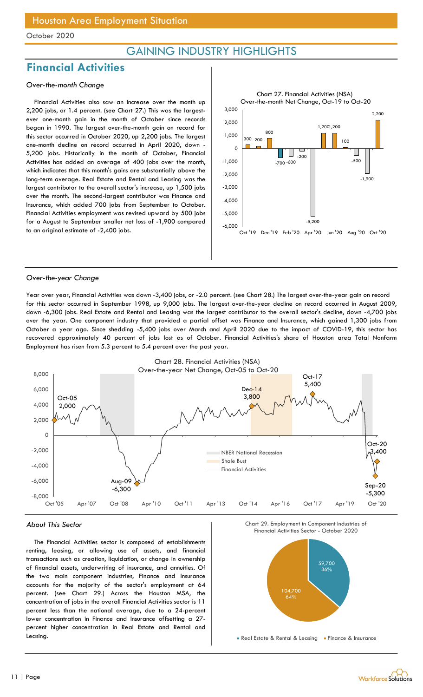### GAINING INDUSTRY HIGHLIGHTS

### Financial Activities

### Over-the-month Change

Financial Activities also saw an increase over the month up 2,200 jobs, or 1.4 percent. (see Chart 27.) This was the largestever one-month gain in the month of October since records began in 1990. The largest over-the-month gain on record for this sector occurred in October 2020, up 2,200 jobs. The largest one-month decline on record occurred in April 2020, down - 5,200 jobs. Historically in the month of October, Financial Activities has added an average of 400 jobs over the month, which indicates that this month's gains are substantially above the long-term average. Real Estate and Rental and Leasing was the largest contributor to the overall sector's increase, up 1,500 jobs over the month. The second-largest contributor was Finance and Insurance, which added 700 jobs from September to October. Financial Activities employment was revised upward by 500 jobs for a August to September smaller net loss of -1,900 compared to an original estimate of -2,400 jobs.



#### Over-the-year Change

Year over year, Financial Activities was down -3,400 jobs, or -2.0 percent. (see Chart 28.) The largest over-the-year gain on record for this sector occurred in September 1998, up 9,000 jobs. The largest over-the-year decline on record occurred in August 2009, down -6,300 jobs. Real Estate and Rental and Leasing was the largest contributor to the overall sector's decline, down -4,700 jobs over the year. One component industry that provided a partial offset was Finance and Insurance, which gained 1,300 jobs from October a year ago. Since shedding -5,400 jobs over March and April 2020 due to the impact of COVID-19, this sector has recovered approximately 40 percent of jobs lost as of October. Financial Activities's share of Houston area Total Nonfarm Employment has risen from 5.3 percent to 5.4 percent over the past year.



#### About This Sector

The Financial Activities sector is composed of establishments renting, leasing, or allowing use of assets, and financial transactions such as creation, liquidation, or change in ownership of financial assets, underwriting of insurance, and annuities. Of the two main component industries, Finance and Insurance accounts for the majority of the sector's employment at 64 percent. (see Chart 29.) Across the Houston MSA, the concentration of jobs in the overall Financial Activities sector is 11 percent less than the national average, due to a 24-percent lower concentration in Finance and Insurance offsetting a 27 percent higher concentration in Real Estate and Rental and Leasing.



Real Estate & Rental & Leasing Finance & Insurance

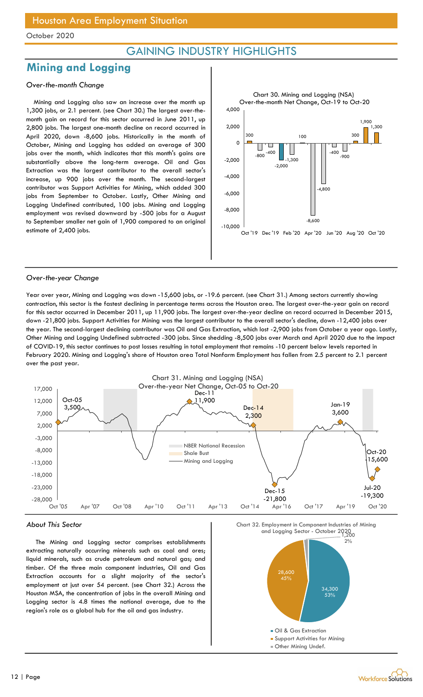### GAINING INDUSTRY HIGHLIGHTS

### Mining and Logging

### Over-the-month Change

Mining and Logging also saw an increase over the month up 1,300 jobs, or 2.1 percent. (see Chart 30.) The largest over-themonth gain on record for this sector occurred in June 2011, up 2,800 jobs. The largest one-month decline on record occurred in April 2020, down -8,600 jobs. Historically in the month of October, Mining and Logging has added an average of 300 jobs over the month, which indicates that this month's gains are substantially above the long-term average. Oil and Gas Extraction was the largest contributor to the overall sector's increase, up 900 jobs over the month. The second-largest contributor was Support Activities for Mining, which added 300 jobs from September to October. Lastly, Other Mining and Logging Undefined contributed, 100 jobs. Mining and Logging employment was revised downward by -500 jobs for a August to September smaller net gain of 1,900 compared to an original estimate of 2,400 jobs.



#### Over-the-year Change

Year over year, Mining and Logging was down -15,600 jobs, or -19.6 percent. (see Chart 31.) Among sectors currently showing contraction, this sector is the fastest declining in percentage terms across the Houston area. The largest over-the-year gain on record for this sector occurred in December 2011, up 11,900 jobs. The largest over-the-year decline on record occurred in December 2015, down -21,800 jobs. Support Activities for Mining was the largest contributor to the overall sector's decline, down -12,400 jobs over the year. The second-largest declining contributor was Oil and Gas Extraction, which lost -2,900 jobs from October a year ago. Lastly, Other Mining and Logging Undefined subtracted -300 jobs. Since shedding -8,500 jobs over March and April 2020 due to the impact of COVID-19, this sector continues to post losses resulting in total employment that remains -10 percent below levels reported in February 2020. Mining and Logging's share of Houston area Total Nonfarm Employment has fallen from 2.5 percent to 2.1 percent over the past year.



#### About This Sector

The Mining and Logging sector comprises establishments extracting naturally occurring minerals such as coal and ores; liquid minerals, such as crude petroleum and natural gas; and timber. Of the three main component industries, Oil and Gas Extraction accounts for a slight majority of the sector's employment at just over 54 percent. (see Chart 32.) Across the Houston MSA, the concentration of jobs in the overall Mining and Logging sector is 4.8 times the national average, due to the region's role as a global hub for the oil and gas industry.

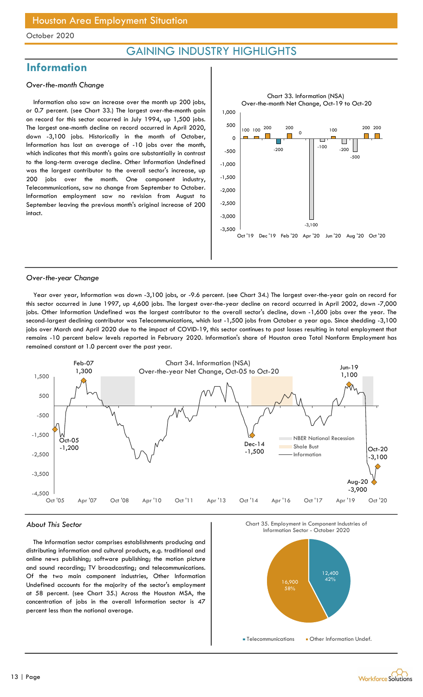### GAINING INDUSTRY HIGHLIGHTS

### **Information**

#### Over-the-month Change

Information also saw an increase over the month up 200 jobs, or 0.7 percent. (see Chart 33.) The largest over-the-month gain on record for this sector occurred in July 1994, up 1,500 jobs. The largest one-month decline on record occurred in April 2020, down -3,100 jobs. Historically in the month of October, Information has lost an average of -10 jobs over the month, which indicates that this month's gains are substantially in contrast to the long-term average decline. Other Information Undefined was the largest contributor to the overall sector's increase, up 200 jobs over the month. One component industry, Telecommunications, saw no change from September to October. Information employment saw no revision from August to September leaving the previous month's original increase of 200 intact.



#### Over-the-year Change

Year over year, Information was down -3,100 jobs, or -9.6 percent. (see Chart 34.) The largest over-the-year gain on record for this sector occurred in June 1997, up 4,600 jobs. The largest over-the-year decline on record occurred in April 2002, down -7,000 jobs. Other Information Undefined was the largest contributor to the overall sector's decline, down -1,600 jobs over the year. The second-largest declining contributor was Telecommunications, which lost -1,500 jobs from October a year ago. Since shedding -3,100 jobs over March and April 2020 due to the impact of COVID-19, this sector continues to post losses resulting in total employment that remains -10 percent below levels reported in February 2020. Information's share of Houston area Total Nonfarm Employment has remained constant at 1.0 percent over the past year.



#### About This Sector

The Information sector comprises establishments producing and distributing information and cultural products, e.g. traditional and online news publishing; software publishing; the motion picture and sound recording; TV broadcasting; and telecommunications. Of the two main component industries, Other Information Undefined accounts for the majority of the sector's employment at 58 percent. (see Chart 35.) Across the Houston MSA, the concentration of jobs in the overall Information sector is 47 percent less than the national average.

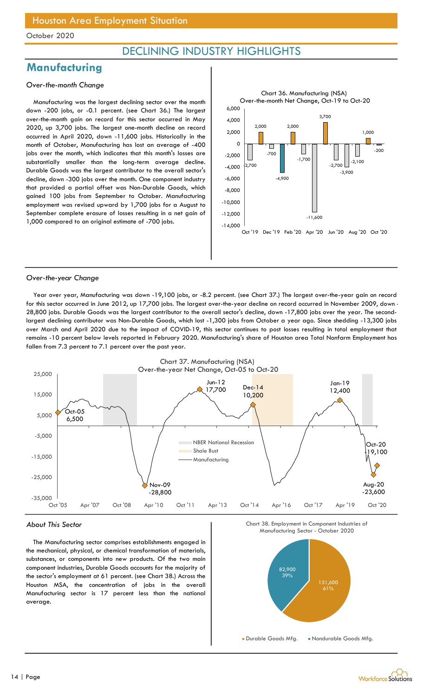### DECLINING INDUSTRY HIGHLIGHTS

### **Manufacturing**

#### Over-the-month Change

Manufacturing was the largest declining sector over the month down -200 jobs, or -0.1 percent. (see Chart 36.) The largest over-the-month gain on record for this sector occurred in May 2020, up 3,700 jobs. The largest one-month decline on record occurred in April 2020, down -11,600 jobs. Historically in the month of October, Manufacturing has lost an average of -400 jobs over the month, which indicates that this month's losses are substantially smaller than the long-term average decline. Durable Goods was the largest contributor to the overall sector's decline, down -300 jobs over the month. One component industry that provided a partial offset was Non-Durable Goods, which gained 100 jobs from September to October. Manufacturing employment was revised upward by 1,700 jobs for a August to September complete erasure of losses resulting in a net gain of 1,000 compared to an original estimate of -700 jobs.



#### Over-the-year Change

Year over year, Manufacturing was down -19,100 jobs, or -8.2 percent. (see Chart 37.) The largest over-the-year gain on record for this sector occurred in June 2012, up 17,700 jobs. The largest over-the-year decline on record occurred in November 2009, down - 28,800 jobs. Durable Goods was the largest contributor to the overall sector's decline, down -17,800 jobs over the year. The secondlargest declining contributor was Non-Durable Goods, which lost -1,300 jobs from October a year ago. Since shedding -13,300 jobs over March and April 2020 due to the impact of COVID-19, this sector continues to post losses resulting in total employment that remains -10 percent below levels reported in February 2020. Manufacturing's share of Houston area Total Nonfarm Employment has fallen from 7.3 percent to 7.1 percent over the past year.



#### About This Sector

The Manufacturing sector comprises establishments engaged in the mechanical, physical, or chemical transformation of materials, substances, or components into new products. Of the two main component industries, Durable Goods accounts for the majority of the sector's employment at 61 percent. (see Chart 38.) Across the Houston MSA, the concentration of jobs in the overall Manufacturing sector is 17 percent less than the national average.





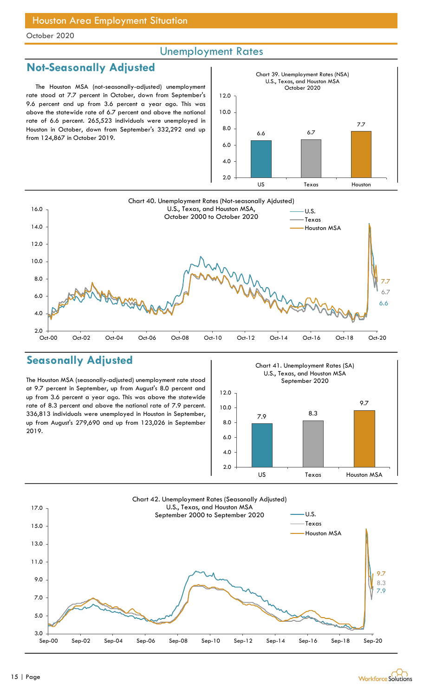### Unemployment Rates

### Not-Seasonally Adjusted

The Houston MSA (not-seasonally-adjusted) unemployment rate stood at 7.7 percent in October, down from September's 9.6 percent and up from 3.6 percent a year ago. This was above the statewide rate of 6.7 percent and above the national rate of 6.6 percent. 265,523 individuals were unemployed in Houston in October, down from September's 332,292 and up Houston in October, down from September's 332,292 and up  $\begin{bmatrix} 8.0 \\ 6.6 \end{bmatrix}$  6.6 6.7 6.7





### Seasonally Adjusted

The Houston MSA (seasonally-adjusted) unemployment rate stood at 9.7 percent in September, up from August's 8.0 percent and up from 3.6 percent a year ago. This was above the statewide rate of 8.3 percent and above the national rate of 7.9 percent. 336,813 individuals were unemployed in Houston in September, up from August's 279,690 and up from 123,026 in September 2019.